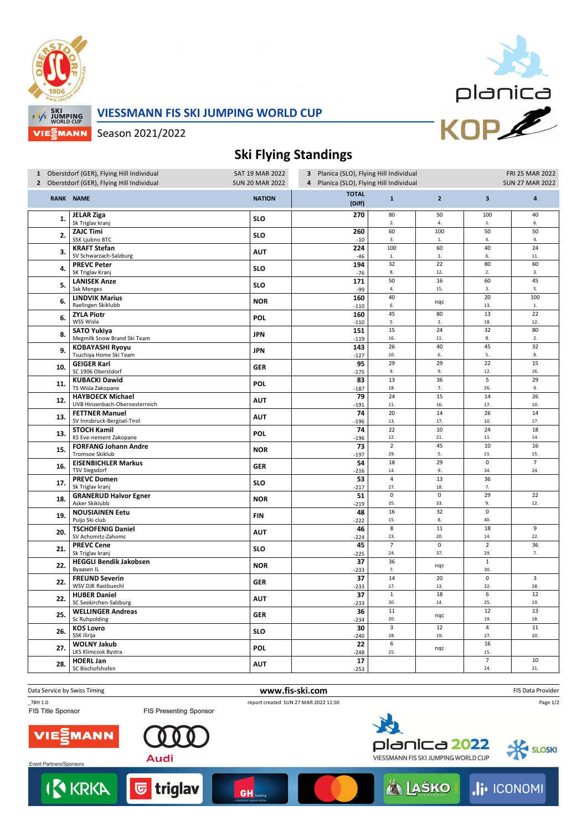

## **VIESSMANN FIS SKI JUMPING WORLD CUP**



Season 2021/2022

## **Ski Flying Standings**

| <b>TOTAL</b><br>$\overline{2}$<br><b>RANK NAME</b><br><b>NATION</b><br>$\overline{\mathbf{3}}$<br>$\mathbf{1}$<br>$\overline{\mathbf{4}}$<br>(Diff)<br>80<br>50<br>40<br><b>JELAR Ziga</b><br>270<br>100<br><b>SLO</b><br>1.<br>Sk Triglav kranj<br>2.<br>4.<br>${\bf 1}.$<br>6.<br>60<br>50<br>50<br><b>ZAJC Timi</b><br>260<br>100<br>2.<br><b>SLO</b><br>SSK Ljubno BTC<br>4.<br>$-10$<br>3.<br>$1. \,$<br>4.<br>100<br>60<br>40<br>24<br>224<br><b>KRAFT Stefan</b><br><b>AUT</b><br>3.<br>SV Schwarzach-Salzburg<br>6.<br>11.<br>$-46$<br>$\mathbf{1}.$<br>3.<br>22<br><b>PREVC Peter</b><br>194<br>32<br>80<br>60<br><b>SLO</b><br>4.<br>SK Triglav Kranj<br>8.<br>12.<br>$\overline{2}$ .<br>3.<br>$-76$<br>50<br>16<br>60<br>45<br><b>LANISEK Anze</b><br>171<br>5.<br><b>SLO</b><br><b>Ssk Menges</b><br>15.<br>5.<br>-99<br>4.<br>3.<br>40<br>20<br>100<br><b>LINDVIK Marius</b><br>160<br>6.<br><b>NOR</b><br>nqc<br>Raelingen Skiklubb<br>6.<br>$\mathbf{1}.$<br>13.<br>$-110$<br>13<br>22<br>45<br>80<br><b>ZYLA Piotr</b><br>160<br>6.<br><b>POL</b><br>WSS Wisla<br>12.<br>5.<br>2.<br>18.<br>$-110$<br>15<br>24<br>32<br>80<br><b>SATO Yukiya</b><br>151<br><b>JPN</b><br>8.<br>Megmilk Snow Brand Ski Team<br>8.<br>2.<br>16.<br>11.<br>$-119$<br>26<br>45<br>32<br>40<br><b>KOBAYASHI Ryoyu</b><br>143<br><b>JPN</b><br>9.<br>Tsuchiya Home Ski Team<br>5.<br>8.<br>10.<br>6.<br>$-127$<br><b>GEIGER Karl</b><br>95<br>29<br>29<br>22<br>15<br>10.<br><b>GER</b><br>SC 1906 Oberstdorf<br>9.<br>9.<br>12.<br>16.<br>$-175$<br>13<br>36<br>5<br>29<br><b>KUBACKI Dawid</b><br>83<br><b>POL</b><br>11.<br>TS Wisla Zakopane<br>7.<br>18.<br>26.<br>9.<br>$-187$<br>24<br>15<br>14<br>26<br><b>HAYBOECK Michael</b><br>79<br>12.<br><b>AUT</b><br>UVB Hinzenbach-Oberoesterreich<br>10.<br>11.<br>16.<br>17.<br>$-191$<br>20<br>14<br>26<br>14<br>74<br><b>FETTNER Manuel</b><br><b>AUT</b><br>13.<br>SV Innsbruck-Bergisel-Tirol<br>17.<br>17.<br>13.<br>10.<br>$-196$<br><b>STOCH Kamil</b><br>74<br>22<br>10<br>24<br>18<br>POL<br>13.<br>KS Eve-nement Zakopane<br>12.<br>21.<br>11.<br>14.<br>$-196$<br>$\overline{2}$<br>73<br>10<br>16<br><b>FORFANG Johann Andre</b><br>45<br>15.<br><b>NOR</b><br>Tromsoe Skiklub<br>29.<br>5.<br>21.<br>15.<br>$-197$<br>18<br>29<br>$\pmb{0}$<br>$\overline{7}$<br><b>EISENBICHLER Markus</b><br>54<br>16.<br><b>GER</b><br><b>TSV Siegsdorf</b><br>$-216$<br>14.<br>9.<br>34.<br>24.<br><b>PREVC Domen</b><br>13<br>53<br>$\overline{4}$<br>36<br><b>SLO</b><br>17.<br>Sk Triglav kranj<br>27.<br>18.<br>$-217$<br>7.<br>$\overline{0}$<br>$\overline{29}$<br>$\overline{22}$<br>$\mathsf 0$<br><b>GRANERUD Halvor Egner</b><br>51<br>18.<br><b>NOR</b><br>Asker Skiklubb<br>12.<br>$-219$<br>35.<br>33.<br>9.<br>$\overline{32}$<br>$\overline{0}$<br>16<br><b>NOUSIAINEN Eetu</b><br>48<br><b>FIN</b><br>19.<br>Puijo Ski club<br>40.<br>15.<br>8.<br>$-222$<br><b>TSCHOFENIG Daniel</b><br>46<br>8<br>11<br>18<br>9<br>20.<br><b>AUT</b><br>SV Achomitz-Zahomc<br>22.<br>23.<br>20.<br>14.<br>$-224$<br>$\overline{7}$<br>$\overline{2}$<br>$\mathsf 0$<br>36<br><b>PREVC Cene</b><br>45<br><b>SLO</b><br>21.<br>37.<br>29.<br>Sk Triglav kranj<br>24.<br>7.<br>$-225$<br>36<br>$\mathbf 1$<br><b>HEGGLI Bendik Jakobsen</b><br>37<br>22.<br><b>NOR</b><br>nqc<br>Byaasen IL<br>30.<br>7.<br>$-233$<br>14<br>20<br>$\pmb{0}$<br>$\overline{3}$<br><b>FREUND Severin</b><br>37<br>22.<br><b>GER</b><br>WSV DJK Rastbuechl<br>17.<br>32.<br>28.<br>$-233$<br>13.<br>12<br>$\mathbf 1$<br>18<br>6<br><b>HUBER Daniel</b><br>37<br>22.<br><b>AUT</b><br>SC Seekirchen-Salzburg<br>30.<br>14.<br>25.<br>19.<br>$-233$<br>13<br>$11\,$<br>12<br><b>WELLINGER Andreas</b><br>36<br>25.<br><b>GER</b><br>nqc<br>Sc Ruhpolding<br>20.<br>19.<br>18.<br>$-234$<br>$\overline{3}$<br>$\overline{\mathbf{4}}$<br>$11\,$<br><b>KOS Lovro</b><br>30<br>12<br><b>SLO</b><br>26.<br>SSK Ilirija<br>20.<br>28.<br>19.<br>27.<br>$-240$<br>6<br>16<br><b>WOLNY Jakub</b><br>22<br><b>POL</b><br>27.<br>nqc<br>LKS Klimczok Bystra<br>25.<br>15.<br>$-248$<br>$\overline{7}$<br><b>HOERL Jan</b><br>17<br>10<br>28.<br><b>AUT</b><br>SC Bischofshofen<br>24.<br>21.<br>$-253$ | 1 Oberstdorf (GER), Flying Hill Individual<br>2 Oberstdorf (GER), Flying Hill Individual |  | SAT 19 MAR 2022<br><b>SUN 20 MAR 2022</b> | 3 Planica (SLO), Flying Hill Individual<br>4 Planica (SLO), Flying Hill Individual |  |  | FRI 25 MAR 2022<br><b>SUN 27 MAR 2022</b> |  |
|--------------------------------------------------------------------------------------------------------------------------------------------------------------------------------------------------------------------------------------------------------------------------------------------------------------------------------------------------------------------------------------------------------------------------------------------------------------------------------------------------------------------------------------------------------------------------------------------------------------------------------------------------------------------------------------------------------------------------------------------------------------------------------------------------------------------------------------------------------------------------------------------------------------------------------------------------------------------------------------------------------------------------------------------------------------------------------------------------------------------------------------------------------------------------------------------------------------------------------------------------------------------------------------------------------------------------------------------------------------------------------------------------------------------------------------------------------------------------------------------------------------------------------------------------------------------------------------------------------------------------------------------------------------------------------------------------------------------------------------------------------------------------------------------------------------------------------------------------------------------------------------------------------------------------------------------------------------------------------------------------------------------------------------------------------------------------------------------------------------------------------------------------------------------------------------------------------------------------------------------------------------------------------------------------------------------------------------------------------------------------------------------------------------------------------------------------------------------------------------------------------------------------------------------------------------------------------------------------------------------------------------------------------------------------------------------------------------------------------------------------------------------------------------------------------------------------------------------------------------------------------------------------------------------------------------------------------------------------------------------------------------------------------------------------------------------------------------------------------------------------------------------------------------------------------------------------------------------------------------------------------------------------------------------------------------------------------------------------------------------------------------------------------------------------------------------------------------------------------------------------------------------------------------------------------------------------------------------------------------------------------------------------------------------------------------------------------------------------------------------------------------------------------------------------------------------------------------------------------------------------------------------------------------------------------------------------------------------------------------------------------------------------------------------------------------------------------------------------------------------------------------------------------------------------------------------------------------------------|------------------------------------------------------------------------------------------|--|-------------------------------------------|------------------------------------------------------------------------------------|--|--|-------------------------------------------|--|
|                                                                                                                                                                                                                                                                                                                                                                                                                                                                                                                                                                                                                                                                                                                                                                                                                                                                                                                                                                                                                                                                                                                                                                                                                                                                                                                                                                                                                                                                                                                                                                                                                                                                                                                                                                                                                                                                                                                                                                                                                                                                                                                                                                                                                                                                                                                                                                                                                                                                                                                                                                                                                                                                                                                                                                                                                                                                                                                                                                                                                                                                                                                                                                                                                                                                                                                                                                                                                                                                                                                                                                                                                                                                                                                                                                                                                                                                                                                                                                                                                                                                                                                                                                                                                          |                                                                                          |  |                                           |                                                                                    |  |  |                                           |  |
|                                                                                                                                                                                                                                                                                                                                                                                                                                                                                                                                                                                                                                                                                                                                                                                                                                                                                                                                                                                                                                                                                                                                                                                                                                                                                                                                                                                                                                                                                                                                                                                                                                                                                                                                                                                                                                                                                                                                                                                                                                                                                                                                                                                                                                                                                                                                                                                                                                                                                                                                                                                                                                                                                                                                                                                                                                                                                                                                                                                                                                                                                                                                                                                                                                                                                                                                                                                                                                                                                                                                                                                                                                                                                                                                                                                                                                                                                                                                                                                                                                                                                                                                                                                                                          |                                                                                          |  |                                           |                                                                                    |  |  |                                           |  |
|                                                                                                                                                                                                                                                                                                                                                                                                                                                                                                                                                                                                                                                                                                                                                                                                                                                                                                                                                                                                                                                                                                                                                                                                                                                                                                                                                                                                                                                                                                                                                                                                                                                                                                                                                                                                                                                                                                                                                                                                                                                                                                                                                                                                                                                                                                                                                                                                                                                                                                                                                                                                                                                                                                                                                                                                                                                                                                                                                                                                                                                                                                                                                                                                                                                                                                                                                                                                                                                                                                                                                                                                                                                                                                                                                                                                                                                                                                                                                                                                                                                                                                                                                                                                                          |                                                                                          |  |                                           |                                                                                    |  |  |                                           |  |
|                                                                                                                                                                                                                                                                                                                                                                                                                                                                                                                                                                                                                                                                                                                                                                                                                                                                                                                                                                                                                                                                                                                                                                                                                                                                                                                                                                                                                                                                                                                                                                                                                                                                                                                                                                                                                                                                                                                                                                                                                                                                                                                                                                                                                                                                                                                                                                                                                                                                                                                                                                                                                                                                                                                                                                                                                                                                                                                                                                                                                                                                                                                                                                                                                                                                                                                                                                                                                                                                                                                                                                                                                                                                                                                                                                                                                                                                                                                                                                                                                                                                                                                                                                                                                          |                                                                                          |  |                                           |                                                                                    |  |  |                                           |  |
|                                                                                                                                                                                                                                                                                                                                                                                                                                                                                                                                                                                                                                                                                                                                                                                                                                                                                                                                                                                                                                                                                                                                                                                                                                                                                                                                                                                                                                                                                                                                                                                                                                                                                                                                                                                                                                                                                                                                                                                                                                                                                                                                                                                                                                                                                                                                                                                                                                                                                                                                                                                                                                                                                                                                                                                                                                                                                                                                                                                                                                                                                                                                                                                                                                                                                                                                                                                                                                                                                                                                                                                                                                                                                                                                                                                                                                                                                                                                                                                                                                                                                                                                                                                                                          |                                                                                          |  |                                           |                                                                                    |  |  |                                           |  |
|                                                                                                                                                                                                                                                                                                                                                                                                                                                                                                                                                                                                                                                                                                                                                                                                                                                                                                                                                                                                                                                                                                                                                                                                                                                                                                                                                                                                                                                                                                                                                                                                                                                                                                                                                                                                                                                                                                                                                                                                                                                                                                                                                                                                                                                                                                                                                                                                                                                                                                                                                                                                                                                                                                                                                                                                                                                                                                                                                                                                                                                                                                                                                                                                                                                                                                                                                                                                                                                                                                                                                                                                                                                                                                                                                                                                                                                                                                                                                                                                                                                                                                                                                                                                                          |                                                                                          |  |                                           |                                                                                    |  |  |                                           |  |
|                                                                                                                                                                                                                                                                                                                                                                                                                                                                                                                                                                                                                                                                                                                                                                                                                                                                                                                                                                                                                                                                                                                                                                                                                                                                                                                                                                                                                                                                                                                                                                                                                                                                                                                                                                                                                                                                                                                                                                                                                                                                                                                                                                                                                                                                                                                                                                                                                                                                                                                                                                                                                                                                                                                                                                                                                                                                                                                                                                                                                                                                                                                                                                                                                                                                                                                                                                                                                                                                                                                                                                                                                                                                                                                                                                                                                                                                                                                                                                                                                                                                                                                                                                                                                          |                                                                                          |  |                                           |                                                                                    |  |  |                                           |  |
|                                                                                                                                                                                                                                                                                                                                                                                                                                                                                                                                                                                                                                                                                                                                                                                                                                                                                                                                                                                                                                                                                                                                                                                                                                                                                                                                                                                                                                                                                                                                                                                                                                                                                                                                                                                                                                                                                                                                                                                                                                                                                                                                                                                                                                                                                                                                                                                                                                                                                                                                                                                                                                                                                                                                                                                                                                                                                                                                                                                                                                                                                                                                                                                                                                                                                                                                                                                                                                                                                                                                                                                                                                                                                                                                                                                                                                                                                                                                                                                                                                                                                                                                                                                                                          |                                                                                          |  |                                           |                                                                                    |  |  |                                           |  |
|                                                                                                                                                                                                                                                                                                                                                                                                                                                                                                                                                                                                                                                                                                                                                                                                                                                                                                                                                                                                                                                                                                                                                                                                                                                                                                                                                                                                                                                                                                                                                                                                                                                                                                                                                                                                                                                                                                                                                                                                                                                                                                                                                                                                                                                                                                                                                                                                                                                                                                                                                                                                                                                                                                                                                                                                                                                                                                                                                                                                                                                                                                                                                                                                                                                                                                                                                                                                                                                                                                                                                                                                                                                                                                                                                                                                                                                                                                                                                                                                                                                                                                                                                                                                                          |                                                                                          |  |                                           |                                                                                    |  |  |                                           |  |
|                                                                                                                                                                                                                                                                                                                                                                                                                                                                                                                                                                                                                                                                                                                                                                                                                                                                                                                                                                                                                                                                                                                                                                                                                                                                                                                                                                                                                                                                                                                                                                                                                                                                                                                                                                                                                                                                                                                                                                                                                                                                                                                                                                                                                                                                                                                                                                                                                                                                                                                                                                                                                                                                                                                                                                                                                                                                                                                                                                                                                                                                                                                                                                                                                                                                                                                                                                                                                                                                                                                                                                                                                                                                                                                                                                                                                                                                                                                                                                                                                                                                                                                                                                                                                          |                                                                                          |  |                                           |                                                                                    |  |  |                                           |  |
|                                                                                                                                                                                                                                                                                                                                                                                                                                                                                                                                                                                                                                                                                                                                                                                                                                                                                                                                                                                                                                                                                                                                                                                                                                                                                                                                                                                                                                                                                                                                                                                                                                                                                                                                                                                                                                                                                                                                                                                                                                                                                                                                                                                                                                                                                                                                                                                                                                                                                                                                                                                                                                                                                                                                                                                                                                                                                                                                                                                                                                                                                                                                                                                                                                                                                                                                                                                                                                                                                                                                                                                                                                                                                                                                                                                                                                                                                                                                                                                                                                                                                                                                                                                                                          |                                                                                          |  |                                           |                                                                                    |  |  |                                           |  |
|                                                                                                                                                                                                                                                                                                                                                                                                                                                                                                                                                                                                                                                                                                                                                                                                                                                                                                                                                                                                                                                                                                                                                                                                                                                                                                                                                                                                                                                                                                                                                                                                                                                                                                                                                                                                                                                                                                                                                                                                                                                                                                                                                                                                                                                                                                                                                                                                                                                                                                                                                                                                                                                                                                                                                                                                                                                                                                                                                                                                                                                                                                                                                                                                                                                                                                                                                                                                                                                                                                                                                                                                                                                                                                                                                                                                                                                                                                                                                                                                                                                                                                                                                                                                                          |                                                                                          |  |                                           |                                                                                    |  |  |                                           |  |
|                                                                                                                                                                                                                                                                                                                                                                                                                                                                                                                                                                                                                                                                                                                                                                                                                                                                                                                                                                                                                                                                                                                                                                                                                                                                                                                                                                                                                                                                                                                                                                                                                                                                                                                                                                                                                                                                                                                                                                                                                                                                                                                                                                                                                                                                                                                                                                                                                                                                                                                                                                                                                                                                                                                                                                                                                                                                                                                                                                                                                                                                                                                                                                                                                                                                                                                                                                                                                                                                                                                                                                                                                                                                                                                                                                                                                                                                                                                                                                                                                                                                                                                                                                                                                          |                                                                                          |  |                                           |                                                                                    |  |  |                                           |  |
|                                                                                                                                                                                                                                                                                                                                                                                                                                                                                                                                                                                                                                                                                                                                                                                                                                                                                                                                                                                                                                                                                                                                                                                                                                                                                                                                                                                                                                                                                                                                                                                                                                                                                                                                                                                                                                                                                                                                                                                                                                                                                                                                                                                                                                                                                                                                                                                                                                                                                                                                                                                                                                                                                                                                                                                                                                                                                                                                                                                                                                                                                                                                                                                                                                                                                                                                                                                                                                                                                                                                                                                                                                                                                                                                                                                                                                                                                                                                                                                                                                                                                                                                                                                                                          |                                                                                          |  |                                           |                                                                                    |  |  |                                           |  |
|                                                                                                                                                                                                                                                                                                                                                                                                                                                                                                                                                                                                                                                                                                                                                                                                                                                                                                                                                                                                                                                                                                                                                                                                                                                                                                                                                                                                                                                                                                                                                                                                                                                                                                                                                                                                                                                                                                                                                                                                                                                                                                                                                                                                                                                                                                                                                                                                                                                                                                                                                                                                                                                                                                                                                                                                                                                                                                                                                                                                                                                                                                                                                                                                                                                                                                                                                                                                                                                                                                                                                                                                                                                                                                                                                                                                                                                                                                                                                                                                                                                                                                                                                                                                                          |                                                                                          |  |                                           |                                                                                    |  |  |                                           |  |
|                                                                                                                                                                                                                                                                                                                                                                                                                                                                                                                                                                                                                                                                                                                                                                                                                                                                                                                                                                                                                                                                                                                                                                                                                                                                                                                                                                                                                                                                                                                                                                                                                                                                                                                                                                                                                                                                                                                                                                                                                                                                                                                                                                                                                                                                                                                                                                                                                                                                                                                                                                                                                                                                                                                                                                                                                                                                                                                                                                                                                                                                                                                                                                                                                                                                                                                                                                                                                                                                                                                                                                                                                                                                                                                                                                                                                                                                                                                                                                                                                                                                                                                                                                                                                          |                                                                                          |  |                                           |                                                                                    |  |  |                                           |  |
|                                                                                                                                                                                                                                                                                                                                                                                                                                                                                                                                                                                                                                                                                                                                                                                                                                                                                                                                                                                                                                                                                                                                                                                                                                                                                                                                                                                                                                                                                                                                                                                                                                                                                                                                                                                                                                                                                                                                                                                                                                                                                                                                                                                                                                                                                                                                                                                                                                                                                                                                                                                                                                                                                                                                                                                                                                                                                                                                                                                                                                                                                                                                                                                                                                                                                                                                                                                                                                                                                                                                                                                                                                                                                                                                                                                                                                                                                                                                                                                                                                                                                                                                                                                                                          |                                                                                          |  |                                           |                                                                                    |  |  |                                           |  |
|                                                                                                                                                                                                                                                                                                                                                                                                                                                                                                                                                                                                                                                                                                                                                                                                                                                                                                                                                                                                                                                                                                                                                                                                                                                                                                                                                                                                                                                                                                                                                                                                                                                                                                                                                                                                                                                                                                                                                                                                                                                                                                                                                                                                                                                                                                                                                                                                                                                                                                                                                                                                                                                                                                                                                                                                                                                                                                                                                                                                                                                                                                                                                                                                                                                                                                                                                                                                                                                                                                                                                                                                                                                                                                                                                                                                                                                                                                                                                                                                                                                                                                                                                                                                                          |                                                                                          |  |                                           |                                                                                    |  |  |                                           |  |
|                                                                                                                                                                                                                                                                                                                                                                                                                                                                                                                                                                                                                                                                                                                                                                                                                                                                                                                                                                                                                                                                                                                                                                                                                                                                                                                                                                                                                                                                                                                                                                                                                                                                                                                                                                                                                                                                                                                                                                                                                                                                                                                                                                                                                                                                                                                                                                                                                                                                                                                                                                                                                                                                                                                                                                                                                                                                                                                                                                                                                                                                                                                                                                                                                                                                                                                                                                                                                                                                                                                                                                                                                                                                                                                                                                                                                                                                                                                                                                                                                                                                                                                                                                                                                          |                                                                                          |  |                                           |                                                                                    |  |  |                                           |  |
|                                                                                                                                                                                                                                                                                                                                                                                                                                                                                                                                                                                                                                                                                                                                                                                                                                                                                                                                                                                                                                                                                                                                                                                                                                                                                                                                                                                                                                                                                                                                                                                                                                                                                                                                                                                                                                                                                                                                                                                                                                                                                                                                                                                                                                                                                                                                                                                                                                                                                                                                                                                                                                                                                                                                                                                                                                                                                                                                                                                                                                                                                                                                                                                                                                                                                                                                                                                                                                                                                                                                                                                                                                                                                                                                                                                                                                                                                                                                                                                                                                                                                                                                                                                                                          |                                                                                          |  |                                           |                                                                                    |  |  |                                           |  |
|                                                                                                                                                                                                                                                                                                                                                                                                                                                                                                                                                                                                                                                                                                                                                                                                                                                                                                                                                                                                                                                                                                                                                                                                                                                                                                                                                                                                                                                                                                                                                                                                                                                                                                                                                                                                                                                                                                                                                                                                                                                                                                                                                                                                                                                                                                                                                                                                                                                                                                                                                                                                                                                                                                                                                                                                                                                                                                                                                                                                                                                                                                                                                                                                                                                                                                                                                                                                                                                                                                                                                                                                                                                                                                                                                                                                                                                                                                                                                                                                                                                                                                                                                                                                                          |                                                                                          |  |                                           |                                                                                    |  |  |                                           |  |
|                                                                                                                                                                                                                                                                                                                                                                                                                                                                                                                                                                                                                                                                                                                                                                                                                                                                                                                                                                                                                                                                                                                                                                                                                                                                                                                                                                                                                                                                                                                                                                                                                                                                                                                                                                                                                                                                                                                                                                                                                                                                                                                                                                                                                                                                                                                                                                                                                                                                                                                                                                                                                                                                                                                                                                                                                                                                                                                                                                                                                                                                                                                                                                                                                                                                                                                                                                                                                                                                                                                                                                                                                                                                                                                                                                                                                                                                                                                                                                                                                                                                                                                                                                                                                          |                                                                                          |  |                                           |                                                                                    |  |  |                                           |  |
|                                                                                                                                                                                                                                                                                                                                                                                                                                                                                                                                                                                                                                                                                                                                                                                                                                                                                                                                                                                                                                                                                                                                                                                                                                                                                                                                                                                                                                                                                                                                                                                                                                                                                                                                                                                                                                                                                                                                                                                                                                                                                                                                                                                                                                                                                                                                                                                                                                                                                                                                                                                                                                                                                                                                                                                                                                                                                                                                                                                                                                                                                                                                                                                                                                                                                                                                                                                                                                                                                                                                                                                                                                                                                                                                                                                                                                                                                                                                                                                                                                                                                                                                                                                                                          |                                                                                          |  |                                           |                                                                                    |  |  |                                           |  |
|                                                                                                                                                                                                                                                                                                                                                                                                                                                                                                                                                                                                                                                                                                                                                                                                                                                                                                                                                                                                                                                                                                                                                                                                                                                                                                                                                                                                                                                                                                                                                                                                                                                                                                                                                                                                                                                                                                                                                                                                                                                                                                                                                                                                                                                                                                                                                                                                                                                                                                                                                                                                                                                                                                                                                                                                                                                                                                                                                                                                                                                                                                                                                                                                                                                                                                                                                                                                                                                                                                                                                                                                                                                                                                                                                                                                                                                                                                                                                                                                                                                                                                                                                                                                                          |                                                                                          |  |                                           |                                                                                    |  |  |                                           |  |
|                                                                                                                                                                                                                                                                                                                                                                                                                                                                                                                                                                                                                                                                                                                                                                                                                                                                                                                                                                                                                                                                                                                                                                                                                                                                                                                                                                                                                                                                                                                                                                                                                                                                                                                                                                                                                                                                                                                                                                                                                                                                                                                                                                                                                                                                                                                                                                                                                                                                                                                                                                                                                                                                                                                                                                                                                                                                                                                                                                                                                                                                                                                                                                                                                                                                                                                                                                                                                                                                                                                                                                                                                                                                                                                                                                                                                                                                                                                                                                                                                                                                                                                                                                                                                          |                                                                                          |  |                                           |                                                                                    |  |  |                                           |  |
|                                                                                                                                                                                                                                                                                                                                                                                                                                                                                                                                                                                                                                                                                                                                                                                                                                                                                                                                                                                                                                                                                                                                                                                                                                                                                                                                                                                                                                                                                                                                                                                                                                                                                                                                                                                                                                                                                                                                                                                                                                                                                                                                                                                                                                                                                                                                                                                                                                                                                                                                                                                                                                                                                                                                                                                                                                                                                                                                                                                                                                                                                                                                                                                                                                                                                                                                                                                                                                                                                                                                                                                                                                                                                                                                                                                                                                                                                                                                                                                                                                                                                                                                                                                                                          |                                                                                          |  |                                           |                                                                                    |  |  |                                           |  |
|                                                                                                                                                                                                                                                                                                                                                                                                                                                                                                                                                                                                                                                                                                                                                                                                                                                                                                                                                                                                                                                                                                                                                                                                                                                                                                                                                                                                                                                                                                                                                                                                                                                                                                                                                                                                                                                                                                                                                                                                                                                                                                                                                                                                                                                                                                                                                                                                                                                                                                                                                                                                                                                                                                                                                                                                                                                                                                                                                                                                                                                                                                                                                                                                                                                                                                                                                                                                                                                                                                                                                                                                                                                                                                                                                                                                                                                                                                                                                                                                                                                                                                                                                                                                                          |                                                                                          |  |                                           |                                                                                    |  |  |                                           |  |
|                                                                                                                                                                                                                                                                                                                                                                                                                                                                                                                                                                                                                                                                                                                                                                                                                                                                                                                                                                                                                                                                                                                                                                                                                                                                                                                                                                                                                                                                                                                                                                                                                                                                                                                                                                                                                                                                                                                                                                                                                                                                                                                                                                                                                                                                                                                                                                                                                                                                                                                                                                                                                                                                                                                                                                                                                                                                                                                                                                                                                                                                                                                                                                                                                                                                                                                                                                                                                                                                                                                                                                                                                                                                                                                                                                                                                                                                                                                                                                                                                                                                                                                                                                                                                          |                                                                                          |  |                                           |                                                                                    |  |  |                                           |  |
|                                                                                                                                                                                                                                                                                                                                                                                                                                                                                                                                                                                                                                                                                                                                                                                                                                                                                                                                                                                                                                                                                                                                                                                                                                                                                                                                                                                                                                                                                                                                                                                                                                                                                                                                                                                                                                                                                                                                                                                                                                                                                                                                                                                                                                                                                                                                                                                                                                                                                                                                                                                                                                                                                                                                                                                                                                                                                                                                                                                                                                                                                                                                                                                                                                                                                                                                                                                                                                                                                                                                                                                                                                                                                                                                                                                                                                                                                                                                                                                                                                                                                                                                                                                                                          |                                                                                          |  |                                           |                                                                                    |  |  |                                           |  |
|                                                                                                                                                                                                                                                                                                                                                                                                                                                                                                                                                                                                                                                                                                                                                                                                                                                                                                                                                                                                                                                                                                                                                                                                                                                                                                                                                                                                                                                                                                                                                                                                                                                                                                                                                                                                                                                                                                                                                                                                                                                                                                                                                                                                                                                                                                                                                                                                                                                                                                                                                                                                                                                                                                                                                                                                                                                                                                                                                                                                                                                                                                                                                                                                                                                                                                                                                                                                                                                                                                                                                                                                                                                                                                                                                                                                                                                                                                                                                                                                                                                                                                                                                                                                                          |                                                                                          |  |                                           |                                                                                    |  |  |                                           |  |
|                                                                                                                                                                                                                                                                                                                                                                                                                                                                                                                                                                                                                                                                                                                                                                                                                                                                                                                                                                                                                                                                                                                                                                                                                                                                                                                                                                                                                                                                                                                                                                                                                                                                                                                                                                                                                                                                                                                                                                                                                                                                                                                                                                                                                                                                                                                                                                                                                                                                                                                                                                                                                                                                                                                                                                                                                                                                                                                                                                                                                                                                                                                                                                                                                                                                                                                                                                                                                                                                                                                                                                                                                                                                                                                                                                                                                                                                                                                                                                                                                                                                                                                                                                                                                          |                                                                                          |  |                                           |                                                                                    |  |  |                                           |  |